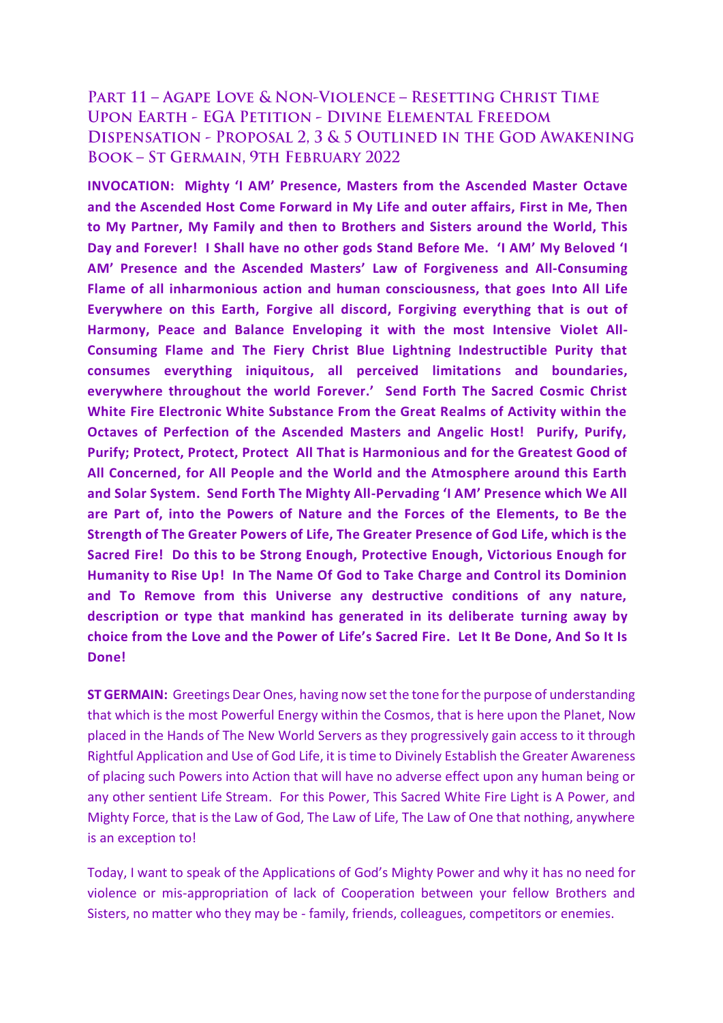## **PART 11 - AGAPE LOVE & NON-VIOLENCE - RESETTING CHRIST TIME UPON EARTH - EGA PETITION - DIVINE ELEMENTAL FREEDOM** DISPENSATION - PROPOSAL 2, 3 & 5 OUTLINED IN THE GOD AWAKENING **BOOK - ST GERMAIN, 9TH FEBRUARY 2022**

**INVOCATION: Mighty 'I AM' Presence, Masters from the Ascended Master Octave and the Ascended Host Come Forward in My Life and outer affairs, First in Me, Then to My Partner, My Family and then to Brothers and Sisters around the World, This Day and Forever! I Shall have no other gods Stand Before Me. 'I AM' My Beloved 'I AM' Presence and the Ascended Masters' Law of Forgiveness and All-Consuming Flame of all inharmonious action and human consciousness, that goes Into All Life Everywhere on this Earth, Forgive all discord, Forgiving everything that is out of Harmony, Peace and Balance Enveloping it with the most Intensive Violet All-Consuming Flame and The Fiery Christ Blue Lightning Indestructible Purity that consumes everything iniquitous, all perceived limitations and boundaries, everywhere throughout the world Forever.' Send Forth The Sacred Cosmic Christ White Fire Electronic White Substance From the Great Realms of Activity within the Octaves of Perfection of the Ascended Masters and Angelic Host! Purify, Purify, Purify; Protect, Protect, Protect All That is Harmonious and for the Greatest Good of All Concerned, for All People and the World and the Atmosphere around this Earth and Solar System. Send Forth The Mighty All-Pervading 'I AM' Presence which We All are Part of, into the Powers of Nature and the Forces of the Elements, to Be the Strength of The Greater Powers of Life, The Greater Presence of God Life, which is the Sacred Fire! Do this to be Strong Enough, Protective Enough, Victorious Enough for Humanity to Rise Up! In The Name Of God to Take Charge and Control its Dominion and To Remove from this Universe any destructive conditions of any nature, description or type that mankind has generated in its deliberate turning away by choice from the Love and the Power of Life's Sacred Fire. Let It Be Done, And So It Is Done!**

**ST GERMAIN:** Greetings Dear Ones, having now set the tone for the purpose of understanding that which is the most Powerful Energy within the Cosmos, that is here upon the Planet, Now placed in the Hands of The New World Servers as they progressively gain access to it through Rightful Application and Use of God Life, it is time to Divinely Establish the Greater Awareness of placing such Powers into Action that will have no adverse effect upon any human being or any other sentient Life Stream. For this Power, This Sacred White Fire Light is A Power, and Mighty Force, that is the Law of God, The Law of Life, The Law of One that nothing, anywhere is an exception to!

Today, I want to speak of the Applications of God's Mighty Power and why it has no need for violence or mis-appropriation of lack of Cooperation between your fellow Brothers and Sisters, no matter who they may be - family, friends, colleagues, competitors or enemies.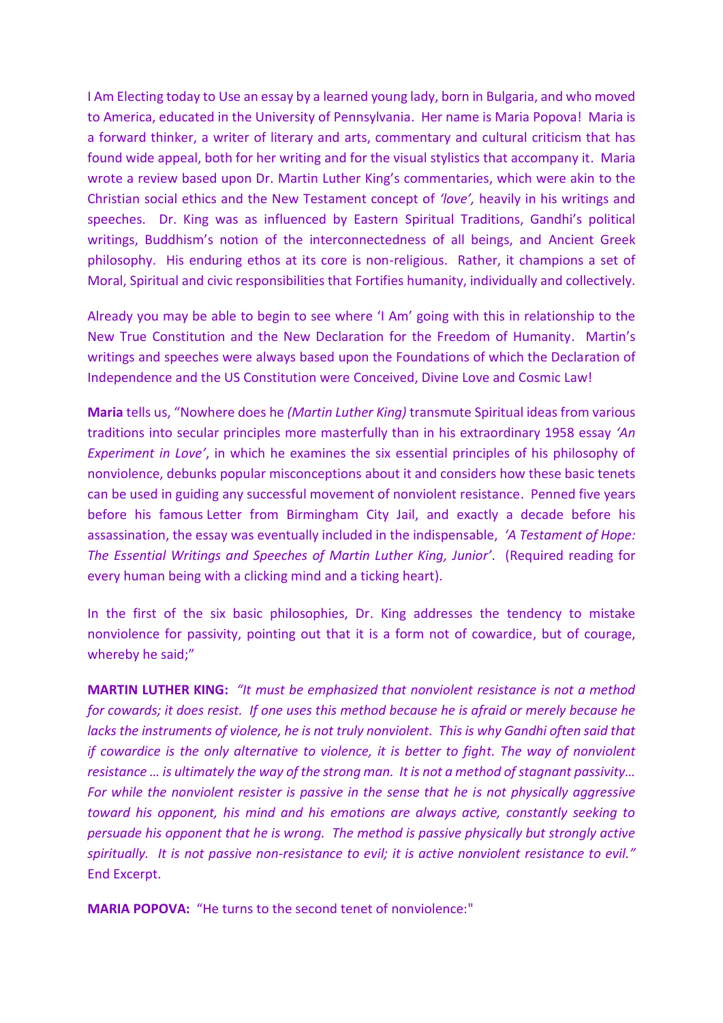I Am Electing today to Use an essay by a learned young lady, born in Bulgaria, and who moved to America, educated in the University of Pennsylvania. Her name is Maria Popova! Maria is a forward thinker, a writer of literary and arts, commentary and cultural criticism that has found wide appeal, both for her writing and for the visual stylistics that accompany it. Maria wrote a review based upon Dr. Martin Luther King's commentaries, which were akin to the Christian social ethics and the New Testament concept of *'love',* heavily in his writings and speeches. Dr. King was as influenced by Eastern Spiritual Traditions, Gandhi's political writings, Buddhism's notion of the interconnectedness of all beings, and Ancient Greek philosophy. His enduring ethos at its core is non-religious. Rather, it champions a set of Moral, Spiritual and civic responsibilities that Fortifies humanity, individually and collectively.

Already you may be able to begin to see where 'I Am' going with this in relationship to the New True Constitution and the New Declaration for the Freedom of Humanity. Martin's writings and speeches were always based upon the Foundations of which the Declaration of Independence and the US Constitution were Conceived, Divine Love and Cosmic Law!

**Maria** tells us, "Nowhere does he *(Martin Luther King)* transmute Spiritual ideas from various traditions into secular principles more masterfully than in his extraordinary 1958 essay *'An Experiment in Love'*, in which he examines the six essential principles of his philosophy of nonviolence, debunks popular misconceptions about it and considers how these basic tenets can be used in guiding any successful movement of nonviolent resistance. Penned five years before his famous Letter from Birmingham City Jail, and exactly a decade before his assassination, the essay was eventually included in the indispensable, *'A Testament of Hope: The Essential Writings and Speeches of Martin Luther King, Junior'*. (Required reading for every human being with a clicking mind and a ticking heart).

In the first of the six basic philosophies, Dr. King addresses the tendency to mistake nonviolence for passivity, pointing out that it is a form not of cowardice, but of courage, whereby he said;"

**MARTIN LUTHER KING:** *"It must be emphasized that nonviolent resistance is not a method for cowards; it does resist. If one uses this method because he is afraid or merely because he lacks the instruments of violence, he is not truly nonviolent. This is why Gandhi often said that if cowardice is the only alternative to violence, it is better to fight. The way of nonviolent resistance … is ultimately the way of the strong man. It is not a method of stagnant passivity… For while the nonviolent resister is passive in the sense that he is not physically aggressive toward his opponent, his mind and his emotions are always active, constantly seeking to persuade his opponent that he is wrong. The method is passive physically but strongly active spiritually. It is not passive non-resistance to evil; it is active nonviolent resistance to evil."*  End Excerpt.

**MARIA POPOVA:** "He turns to the second tenet of nonviolence:"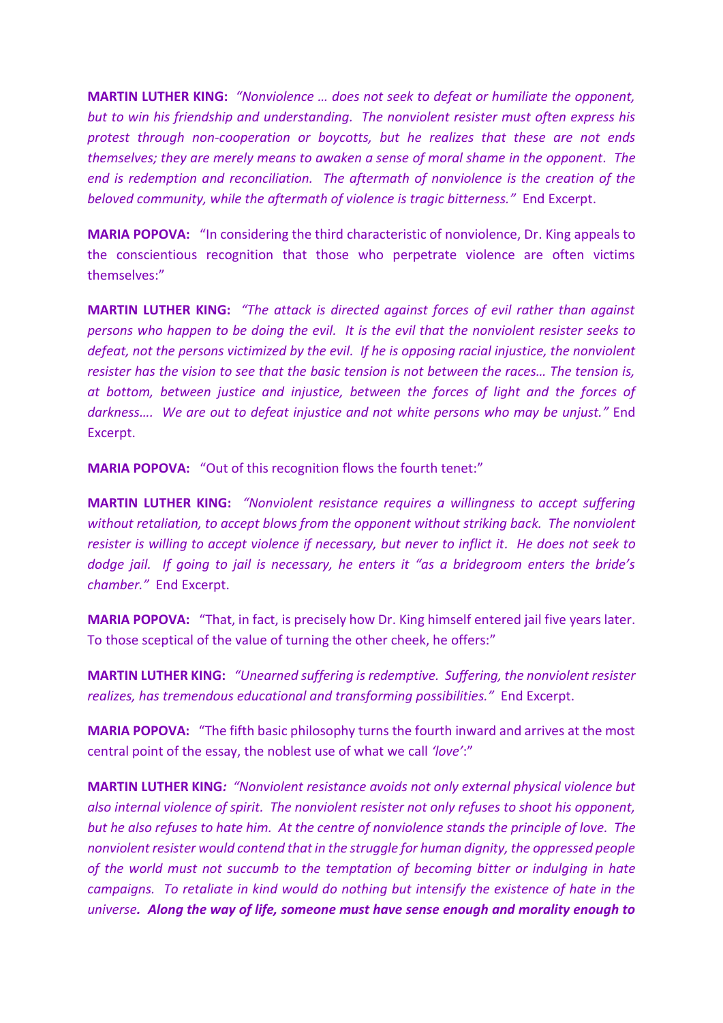**MARTIN LUTHER KING:** *"Nonviolence … does not seek to defeat or humiliate the opponent, but to win his friendship and understanding. The nonviolent resister must often express his protest through non-cooperation or boycotts, but he realizes that these are not ends themselves; they are merely means to awaken a sense of moral shame in the opponent. The end is redemption and reconciliation. The aftermath of nonviolence is the creation of the beloved community, while the aftermath of violence is tragic bitterness."* End Excerpt.

**MARIA POPOVA:** "In considering the third characteristic of nonviolence, Dr. King appeals to the conscientious recognition that those who perpetrate violence are often victims themselves:"

**MARTIN LUTHER KING:** *"The attack is directed against forces of evil rather than against persons who happen to be doing the evil. It is the evil that the nonviolent resister seeks to defeat, not the persons victimized by the evil. If he is opposing racial injustice, the nonviolent resister has the vision to see that the basic tension is not between the races… The tension is, at bottom, between justice and injustice, between the forces of light and the forces of darkness…. We are out to defeat injustice and not white persons who may be unjust."* End Excerpt.

**MARIA POPOVA:** "Out of this recognition flows the fourth tenet:"

**MARTIN LUTHER KING:** *"Nonviolent resistance requires a willingness to accept suffering without retaliation, to accept blows from the opponent without striking back. The nonviolent resister is willing to accept violence if necessary, but never to inflict it. He does not seek to dodge jail. If going to jail is necessary, he enters it "as a bridegroom enters the bride's chamber."* End Excerpt.

**MARIA POPOVA:** "That, in fact, is precisely how Dr. King himself [entered jail five years later.](https://www.themarginalian.org/2015/03/18/martin-luther-king-letter-from-birmingham-city-jail/) To those sceptical of the value of turning the other cheek, he offers:"

**MARTIN LUTHER KING:** *"Unearned suffering is redemptive. Suffering, the nonviolent resister realizes, has tremendous educational and transforming possibilities."* End Excerpt.

**MARIA POPOVA:** "The fifth basic philosophy turns the fourth inward and arrives at the most central point of the essay, the noblest use of what we call *'love'*:"

**MARTIN LUTHER KING***: "Nonviolent resistance avoids not only external physical violence but also internal violence of spirit. The nonviolent resister not only refuses to shoot his opponent, but he also refuses to hate him. At the centre of nonviolence stands the principle of love. The nonviolent resister would contend that in the struggle for human dignity, the oppressed people of the world must not succumb to the temptation of becoming bitter or indulging in hate campaigns. To retaliate in kind would do nothing but intensify the existence of hate in the universe. Along the way of life, someone must have sense enough and morality enough to*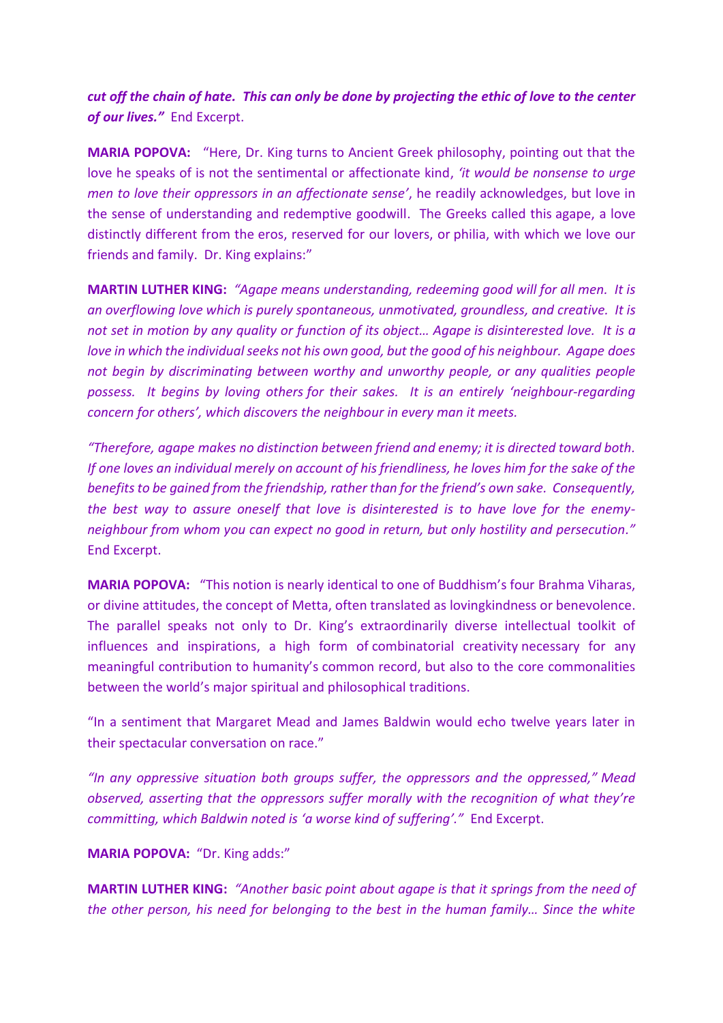*cut off the chain of hate. This can only be done by projecting the ethic of love to the center of our lives."* End Excerpt.

**MARIA POPOVA:** "Here, Dr. King turns to Ancient Greek philosophy, pointing out that the love he speaks of is not the sentimental or affectionate kind, *'it would be nonsense to urge men to love their oppressors in an affectionate sense'*, he readily acknowledges, but love in the sense of understanding and redemptive goodwill. The Greeks called this agape, a love distinctly different from the eros, reserved for our lovers, or philia, with which we love our friends and family. Dr. King explains:"

**MARTIN LUTHER KING:** *"Agape means understanding, redeeming good will for all men. It is an overflowing love which is purely spontaneous, unmotivated, groundless, and creative. It is not set in motion by any quality or function of its object… Agape is disinterested love. It is a love in which the individual seeks not his own good, but the good of his neighbour. Agape does not begin by discriminating between worthy and unworthy people, or any qualities people possess. It begins by loving others for their sakes. It is an entirely 'neighbour-regarding concern for others', which discovers the neighbour in every man it meets.*

*"Therefore, agape makes no distinction between friend and enemy; it is directed toward both. If one loves an individual merely on account of his friendliness, he loves him for the sake of the benefits to be gained from the friendship, rather than for the friend's own sake. Consequently, the best way to assure oneself that love is disinterested is to have love for the enemyneighbour from whom you can expect no good in return, but only hostility and persecution."* End Excerpt.

**MARIA POPOVA:** "This notion is nearly identical to one of Buddhism's four Brahma Viharas, or divine attitudes, the concept of [Metta,](https://www.themarginalian.org/2015/05/27/dani-shapiro-devotion/) often translated as lovingkindness or benevolence. The parallel speaks not only to Dr. King's extraordinarily diverse intellectual toolkit of influences and inspirations, a high form of [combinatorial creativity](https://www.themarginalian.org/2015/05/21/montaigne-curation-originality-opinion/) necessary for any meaningful contribution to humanity's [common record,](https://www.themarginalian.org/2012/10/11/as-we-may-think-1945/) but also to the core commonalities between the world's major spiritual and philosophical traditions.

"In a sentiment that Margaret Mead and James Baldwin would echo twelve years later in their [spectacular conversation on race](https://www.themarginalian.org/tag/a-rap-on-race/)."

*"In any oppressive situation both groups suffer, the oppressors and the oppressed," Mead observed, asserting that the oppressors suffer morally with the recognition of what they're committing, which Baldwin noted is 'a worse kind of suffering'."* End Excerpt.

**MARIA POPOVA:** "Dr. King adds:"

**MARTIN LUTHER KING:** *"Another basic point about agape is that it springs from the need of the other person, his need for belonging to the best in the human family… Since the white*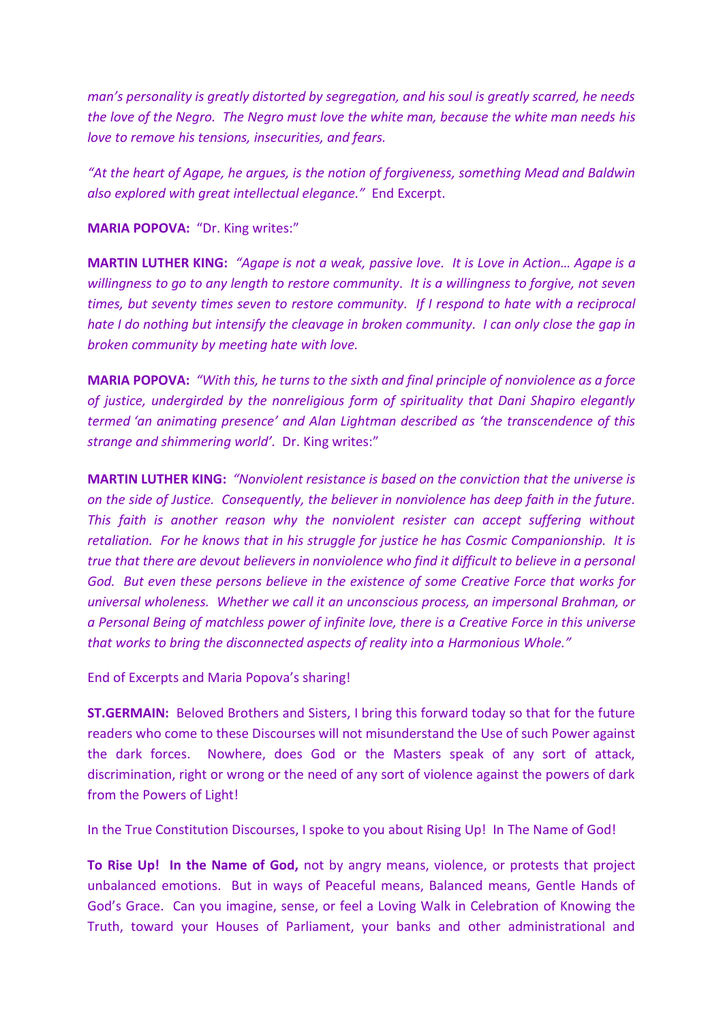*man's personality is greatly distorted by segregation, and his soul is greatly scarred, he needs the love of the Negro. The Negro must love the white man, because the white man needs his love to remove his tensions, insecurities, and fears.*

*"At the heart of Agape, he argues, is the notion of forgiveness, something Mead and Baldwin also [explored with great intellectual elegance.](https://www.themarginalian.org/2015/03/19/a-rap-on-race-margaret-mead-and-james-baldwin/)"* End Excerpt.

**MARIA POPOVA:** "Dr. King writes:"

**MARTIN LUTHER KING:** *"Agape is not a weak, passive love. It is Love in Action… Agape is a willingness to go to any length to restore community. It is a willingness to forgive, not seven times, but seventy times seven to restore community. If I respond to hate with a reciprocal hate I do nothing but intensify the cleavage in broken community. I can only close the gap in broken community by meeting hate with love.*

**MARIA POPOVA:** *"With this, he turns to the sixth and final principle of nonviolence as a force of justice, undergirded by the nonreligious form of spirituality that Dani Shapiro elegantly termed 'an animating presence' and Alan Lightman described as 'the transcendence of this strange and shimmering world'[.](https://www.themarginalian.org/2014/01/15/alan-lightman-accidental-universe-science-spirituality/)* Dr. King writes:"

**MARTIN LUTHER KING:** *"Nonviolent resistance is based on the conviction that the universe is on the side of Justice. Consequently, the believer in nonviolence has deep faith in the future. This faith is another reason why the nonviolent resister can accept suffering without retaliation. For he knows that in his struggle for justice he has Cosmic Companionship. It is true that there are devout believers in nonviolence who find it difficult to believe in a personal God. But even these persons believe in the existence of some Creative Force that works for universal wholeness. Whether we call it an unconscious process, an impersonal Brahman, or a Personal Being of matchless power of infinite love, there is a Creative Force in this universe that works to bring the disconnected aspects of reality into a Harmonious Whole."* 

End of Excerpts and Maria Popova's sharing!

**ST.GERMAIN:** Beloved Brothers and Sisters, I bring this forward today so that for the future readers who come to these Discourses will not misunderstand the Use of such Power against the dark forces. Nowhere, does God or the Masters speak of any sort of attack, discrimination, right or wrong or the need of any sort of violence against the powers of dark from the Powers of Light!

In the True Constitution Discourses, I spoke to you about Rising Up! In The Name of God!

**To Rise Up! In the Name of God,** not by angry means, violence, or protests that project unbalanced emotions. But in ways of Peaceful means, Balanced means, Gentle Hands of God's Grace. Can you imagine, sense, or feel a Loving Walk in Celebration of Knowing the Truth, toward your Houses of Parliament, your banks and other administrational and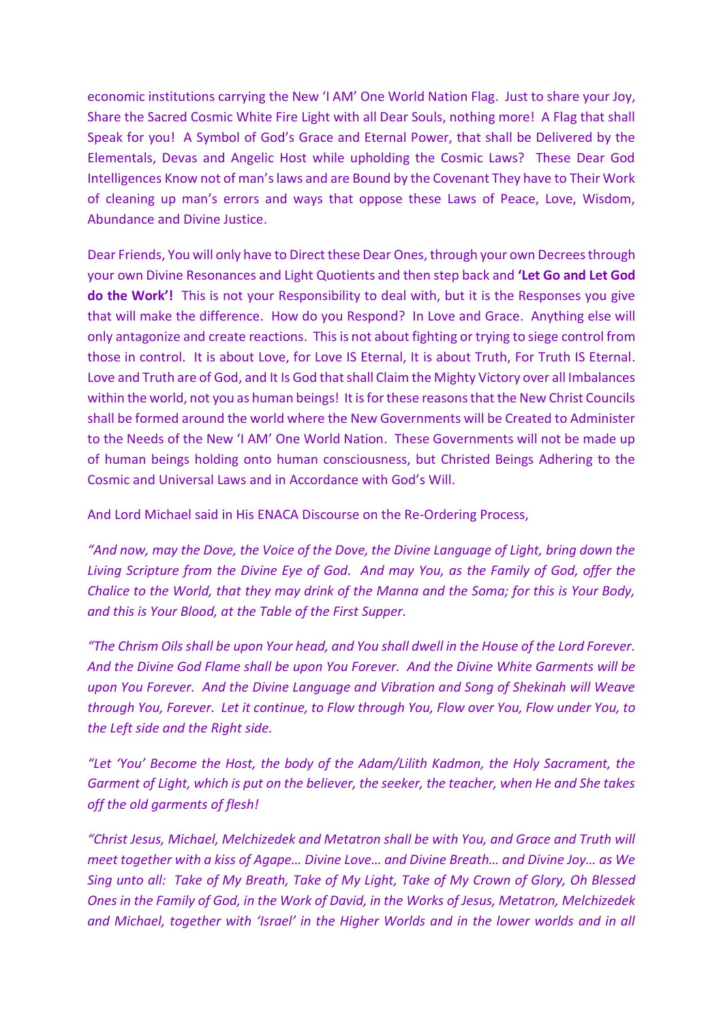economic institutions carrying the New 'I AM' One World Nation Flag. Just to share your Joy, Share the Sacred Cosmic White Fire Light with all Dear Souls, nothing more! A Flag that shall Speak for you! A Symbol of God's Grace and Eternal Power, that shall be Delivered by the Elementals, Devas and Angelic Host while upholding the Cosmic Laws? These Dear God Intelligences Know not of man's laws and are Bound by the Covenant They have to Their Work of cleaning up man's errors and ways that oppose these Laws of Peace, Love, Wisdom, Abundance and Divine Justice.

Dear Friends, You will only have to Direct these Dear Ones, through your own Decrees through your own Divine Resonances and Light Quotients and then step back and **'Let Go and Let God do the Work'!** This is not your Responsibility to deal with, but it is the Responses you give that will make the difference. How do you Respond? In Love and Grace. Anything else will only antagonize and create reactions. This is not about fighting or trying to siege control from those in control. It is about Love, for Love IS Eternal, It is about Truth, For Truth IS Eternal. Love and Truth are of God, and It Is God that shall Claim the Mighty Victory over all Imbalances within the world, not you as human beings! It is for these reasons that the New Christ Councils shall be formed around the world where the New Governments will be Created to Administer to the Needs of the New 'I AM' One World Nation. These Governments will not be made up of human beings holding onto human consciousness, but Christed Beings Adhering to the Cosmic and Universal Laws and in Accordance with God's Will.

And Lord Michael said in His ENACA Discourse on the Re-Ordering Process,

*"And now, may the Dove, the Voice of the Dove, the Divine Language of Light, bring down the Living Scripture from the Divine Eye of God. And may You, as the Family of God, offer the Chalice to the World, that they may drink of the Manna and the Soma; for this is Your Body, and this is Your Blood, at the Table of the First Supper.* 

*"The Chrism Oils shall be upon Your head, and You shall dwell in the House of the Lord Forever. And the Divine God Flame shall be upon You Forever. And the Divine White Garments will be upon You Forever. And the Divine Language and Vibration and Song of Shekinah will Weave through You, Forever. Let it continue, to Flow through You, Flow over You, Flow under You, to the Left side and the Right side.* 

*"Let 'You' Become the Host, the body of the Adam/Lilith Kadmon, the Holy Sacrament, the Garment of Light, which is put on the believer, the seeker, the teacher, when He and She takes off the old garments of flesh!* 

*"Christ Jesus, Michael, Melchizedek and Metatron shall be with You, and Grace and Truth will meet together with a kiss of Agape… Divine Love… and Divine Breath… and Divine Joy… as We Sing unto all: Take of My Breath, Take of My Light, Take of My Crown of Glory, Oh Blessed Ones in the Family of God, in the Work of David, in the Works of Jesus, Metatron, Melchizedek and Michael, together with 'Israel' in the Higher Worlds and in the lower worlds and in all*